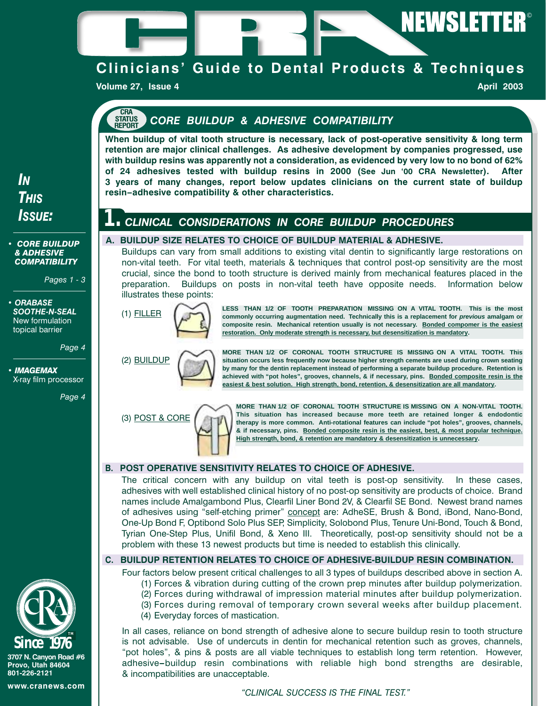

## **Clinicians' Guide to Dental Products & Techniques**

**Volume 27, Issue 4 April 2003 April 2003** 

#### **CRA STATUS REPORT** *CORE BUILDUP & ADHESIVE COMPATIBILITY*

**A. BUILDUP SIZE RELATES TO CHOICE OF BUILDUP MATERIAL & ADHESIVE.**

**1.** *CLINICAL CONSIDERATIONS IN CORE BUILDUP PROCEDURES*

**When buildup of vital tooth structure is necessary, lack of post-operative sensitivity & long term retention are major clinical challenges. As adhesive development by companies progressed, use with buildup resins was apparently not a consideration, as evidenced by very low to no bond of 62% of 24 adhesives tested with buildup resins in 2000 (See Jun '00 CRA Newsletter). After 3 years of many changes, report below updates clinicians on the current state of buildup resin–adhesive compatibility & other characteristics.**

Buildups can vary from small additions to existing vital dentin to significantly large restorations on non-vital teeth. For vital teeth, materials & techniques that control post-op sensitivity are the most crucial, since the bond to tooth structure is derived mainly from mechanical features placed in the preparation. Buildups on posts in non-vital teeth have opposite needs. Information below

# *THIS ISSUE:*

*IN*

#### *• CORE BUILDUP & ADHESIVE COMPATIBILITY*

*Pages 1 - 3* 

*• ORABASE SOOTHE-N-SEAL* New formulation topical barrier

*Page 4*

*• IMAGEMAX* X-ray film processor

*Page 4* 



**LESS THAN 1/2 OF TOOTH PREPARATION MISSING ON A VITAL TOOTH. This is the most commonly occurring augmentation need. Technically this is a replacement for previous amalgam or composite resin. Mechanical retention usually is not necessary. Bonded compomer is the easiest restoration. Only moderate strength is necessary, but desensitization is mandatory.**

(2) BUILDUP

**MORE THAN 1/2 OF CORONAL TOOTH STRUCTURE IS MISSING ON A VITAL TOOTH. This situation occurs less frequently now because higher strength cements are used during crown seating by many for the dentin replacement instead of performing a separate buildup procedure. Retention is achieved with "pot holes", grooves, channels, & if necessary, pins. Bonded composite resin is the easiest & best solution. High strength, bond, retention, & desensitization are all mandatory.**



**MORE THAN 1/2 OF CORONAL TOOTH STRUCTURE IS MISSING ON A NON-VITAL TOOTH. This situation has increased because more teeth are retained longer & endodontic therapy is more common. Anti-rotational features can include "pot holes", grooves, channels, & if necessary, pins. Bonded composite resin is the easiest, best, & most popular technique. High strength, bond, & retention are mandatory & desensitization is unnecessary.**

## **B. POST OPERATIVE SENSITIVITY RELATES TO CHOICE OF ADHESIVE.**

The critical concern with any buildup on vital teeth is post-op sensitivity. In these cases, adhesives with well established clinical history of no post-op sensitivity are products of choice. Brand names include Amalgambond Plus, Clearfil Liner Bond 2V, & Clearfil SE Bond. Newest brand names of adhesives using "self-etching primer" concept are: AdheSE, Brush & Bond, iBond, Nano-Bond, One-Up Bond F, Optibond Solo Plus SEP, Simplicity, Solobond Plus, Tenure Uni-Bond, Touch & Bond, Tyrian One-Step Plus, Unifil Bond, & Xeno III. Theoretically, post-op sensitivity should not be a problem with these 13 newest products but time is needed to establish this clinically.

## **C. BUILDUP RETENTION RELATES TO CHOICE OF ADHESIVE-BUILDUP RESIN COMBINATION.**

Four factors below present critical challenges to all 3 types of buildups described above in section A.

- (1) Forces & vibration during cutting of the crown prep minutes after buildup polymerization.
- (2) Forces during withdrawal of impression material minutes after buildup polymerization.
- (3) Forces during removal of temporary crown several weeks after buildup placement.
- (4) Everyday forces of mastication.

In all cases, reliance on bond strength of adhesive alone to secure buildup resin to tooth structure is not advisable. Use of undercuts in dentin for mechanical retention such as groves, channels, "pot holes", & pins & posts are all viable techniques to establish long term retention. However, adhesive**–**buildup resin combinations with reliable high bond strengths are desirable, & incompatibilities are unacceptable.

*"CLINICAL SUCCESS IS THE FINAL TEST."*



**3707 N. Canyon Road #6 Provo, Utah 84604 801-226-2121**

**www.cranews.com**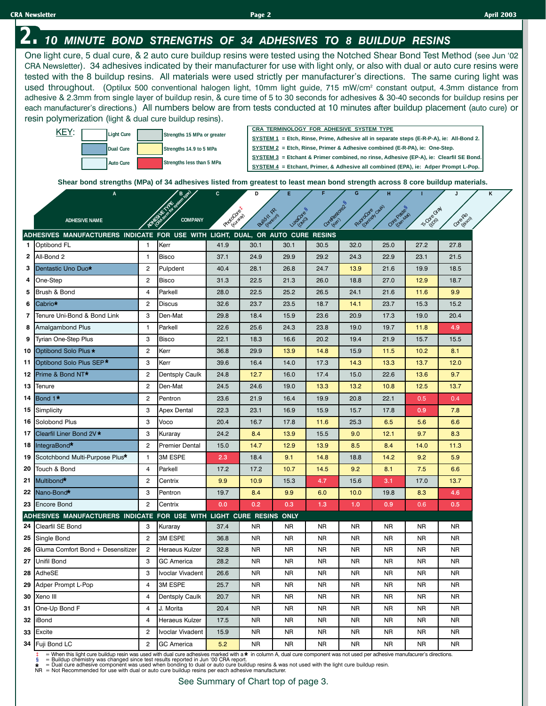#### Optibond FL 1 Kerr 41.9 30.1 30.1 30.5 32.0 25.0 27.2 27.8 All-Bond 2 | 1 |Bisco | 37.1 | 24.9 | 29.9 | 29.2 | 24.3 | 22.9 | 23.1 | 21.5 Dentastic Uno Duo \* | 2 | Pulpdent | 40.4 | 28.1 | 26.8 | 24.7 | 13.9 | 21.6 | 19.9 | 18.5 One-Step | 2 |Bisco | 31.3 | 22.5 | 21.3 | 26.0 | 18.8 | 27.0 | 12.9 | 18.7 Brush & Bond | 4 |Parkell | 28.0 | 22.5 | 25.2 | 26.5 | 24.1 | 21.6 | 11.6 | 9.9 Cabrio 2 Discus 32.6 23.7 23.5 18.7 14.1 23.7 15.3 15.2 Tenure Uni-Bond & Bond Link 3 Den-Mat 29.8 18.4 15.9 23.6 20.9 17.3 19.0 20.4 Amalgambond Plus | 1 |Parkell | 22.6 | 25.6 | 24.3 | 23.8 | 19.0 | 19.7 | 11.8 4.9 Tyrian One-Step Plus 3 Bisco 22.1 18.3 16.6 20.2 19.4 21.9 15.7 15.5 Optibond Solo Plus \* 2 | Kerr | 36.8 | 29.9 | 13.9 | 14.8 | 15.9 | 11.5 | 10.2 | 8.1 Optibond Solo Plus SEP \* 3 Kerr 13.9.6 16.4 14.0 17.3 14.3 13.3 13.7 12.0 Prime & Bond NT\* | 2 |Dentsply Caulk | 24.8 | 12.7 | 16.0 | 17.4 | 15.0 | 22.6 | 13.6 | 9.7 Tenure 2 Den-Mat 24.5 24.6 19.0 13.3 13.2 10.8 12.5 13.7 Bond 1 \* | 2 |Pentron | 23.6 | 21.9 | 16.4 | 19.9 | 20.8 | 22.1 | 0.5 | 0.4 Simplicity 3 Apex Dental 22.3 23.1 16.9 15.9 15.7 17.8 0.9 7.8 Solobond Plus | 3 |Voco | 20.4 | 16.7 | 17.8 | 11.6 | 25.3 | 6.5 | 5.6 | 6.6 Clearfil Liner Bond 2V \* 3 | Kuraray | 24.2 | 8.4 | 13.9 | 15.5 | 9.0 | 12.1 | 9.7 | 8.3 IntegraBond\* | 2 |Premier Dental | 15.0 | 14.7 | 12.9 | 13.9 | 8.5 | 8.4 | 14.0 | 11.3 Scotchbond Multi-Purpose Plus\* | 1 | 3M ESPE | 2.3 | 18.4 | 9.1 | 14.8 | 18.8 | 14.2 | 9.2 | 5.9 Touch & Bond 4 Parkell 17.2 17.2 10.7 14.5 9.2 8.1 7.5 6.6 Multibond\* | 2 |Centrix <mark>| 9.9 | 10.9 |</mark> 15.3 | 4.7 | 15.6 | 3.1 | 17.0 | 13.7 Nano-Bond 3 Pentron 19.7 8.4 9.9 6.0 10.0 19.8 8.3 4.6 Encore Bond 2 Centrix 0.0 0.2 0.3 1.3 1.0 0.9 0.6 0.5 **Dual Cure Light Cure** Core-Fro PhotoCore (Kuraray) Tr-Core Gray Build-It FR Luxa Core (OMG) CoreAtestore2 (Kerr) Fluorochesh Caulk)  $e^{\phi^{\mathrm{c}}}$ (Den-Mat) **A D E F G H I J COMPANY C ADHESIVE NAME Strengths 15 MPa or greater Strengths 14.9 to 5 MPa Auto Cure Strengths less than 5 MPa Shear bond strengths (MPa) of 34 adhesives listed from greatest to least mean bond strength across 8 core buildup materials. B**  $\bullet$  **K C D E F F G H I I J J K CRA TERMINOLOGY FOR ADHESIVE SYSTEM TYPE SYSTEM 1 = Etch, Rinse, Prime, Adhesive all in separate steps (E-R-P-A), ie: All-Bond 2. SYSTEM 2 = Etch, Rinse, Primer & Adhesive combined (E-R-PA), ie: One-Step. SYSTEM 3 = Etchant & Primer combined, no rinse, Adhesive (EP-A), ie: Clearfil SE Bond. SYSTEM 4 = Etchant, Primer, & Adhesive all combined (EPA), ie: Adper Prompt L-Pop.** One light cure, 5 dual cure, & 2 auto cure buildup resins were tested using the Notched Shear Bond Test Method (see Jun '02 CRA Newsletter). 34 adhesives indicated by their manufacturer for use with light only, or also with dual or auto cure resins were tested with the 8 buildup resins. All materials were used strictly per manufacturer's directions. The same curing light was used throughout. (Optilux 500 conventional halogen light, 10mm light guide, 715 mW/cm<sup>2</sup> constant output, 4.3mm distance from adhesive & 2.3mm from single layer of buildup resin, & cure time of 5 to 30 seconds for adhesives & 30-40 seconds for buildup resins per each manufacturer's directions.) All numbers below are from tests conducted at 10 minutes after buildup placement (auto cure) or resin polymerization (light & dual cure buildup resins). **ADHESIVES MANUFACTURERS INDICATE FOR USE WITH LIGHT, DUAL, OR AUTO CURE RESINS ADHESIVE TAKE SHEEP 1 21 22 20 19 18 17 16 15 14 13 12 11 10 9 8 7 6 5 4 3 2 23 34 33 32 31 30 29 28 27 26 25 24 ADHESIVES MANUFACTURERS INDICATE FOR USE WITH LIGHT CURE RESINS ONLY** KEY: **‡\* \*** Nano-Bond\* Cabrio\* Dentastic Uno Duo\* Prime & Bond NT<sup>\*</sup> **\* 2.** *<sup>10</sup> MINUTE BOND STRENGTHS OF 34 ADHESIVES TO 8 BUILDUP RESINS* Clearfil SE Bond | 3 |Kuraray | 37.4 | NR | NR | NR | NR | NR | NR | NR Single Bond | 2 |3M ESPE | 36.8 | NR | NR | NR | NR | NR | NR | NR Gluma Comfort Bond + Desensitizer 2 Heraeus Kulzer 32.8 NR NR NR NR NR NR NR Unifil Bond | 3 |GC America | 28.2 | NR | NR | NR | NR | NR | NR | NR AdheSE 3 Ivoclar Vivadent 26.6 NR NR NR NR NR NR NR Adper Prompt L-Pop 4 3M ESPE 25.7 NR NR NR NR NR NR NR Xeno III | 4 |Dentsply Caulk | 20.7 | NR | NR | NR | NR | NR | NR | NR One-Up Bond F | 4 |J. Morita | 20.4 | NR | NR | NR | NR | NR | NR | NR iBond 4 Heraeus Kulzer 17.5 NR NR NR NR NR NR NR Excite 2 Ivoclar Vivadent 15.9 NR NR NR NR NR NR NR Fuji Bond LC | 2 |GC America <mark>| 5.2 |</mark> NR | NR | NR | NR | NR | NR | NR **§ § §**

= When this light cure buildup resin was used with dual cure adhesives marked with a \* in column A, dual cure component was not used per adhesive manufacurer's directions.  $\ddagger$  = When this light cure buildup resin was used with dual cure adhesives marked with a  $\star$ <br>§ = Buildup chemistry was changed since test results reported in Jun '00 CRA report.

§ = Buildup chemistry was changed since test results reported in Jun '00 CRA report.<br>★ = Dual cure adhesive component was used when bonding to dual or auto cure buildup resins & was not used with the light cure build

**\***

**‡**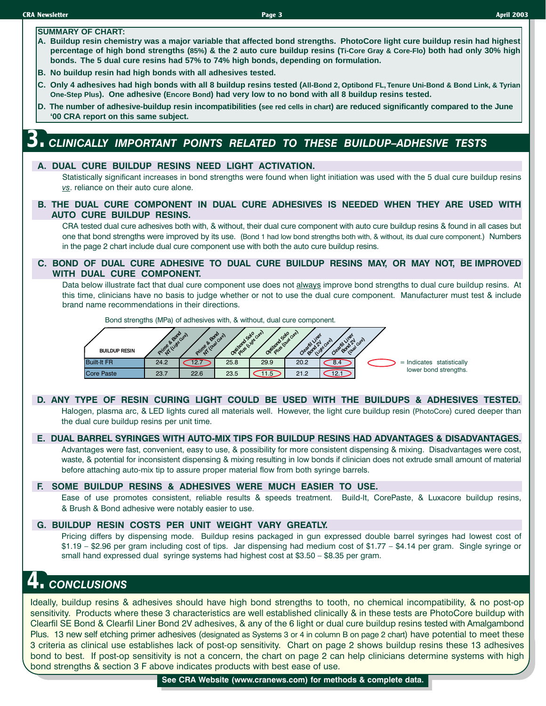#### **SUMMARY OF CHART:**

- **A. Buildup resin chemistry was a major variable that affected bond strengths. PhotoCore light cure buildup resin had highest percentage of high bond strengths (85%) & the 2 auto cure buildup resins (Ti-Core Gray & Core-Flo) both had only 30% high bonds. The 5 dual cure resins had 57% to 74% high bonds, depending on formulation.**
- **B. No buildup resin had high bonds with all adhesives tested.**
- **C. Only 4 adhesives had high bonds with all 8 buildup resins tested (All-Bond 2, Optibond FL, Tenure Uni-Bond & Bond Link, & Tyrian One-Step Plus). One adhesive (Encore Bond) had very low to no bond with all 8 buildup resins tested.**
- **D. The number of adhesive-buildup resin incompatibilities (see red cells in chart) are reduced significantly compared to the June '00 CRA report on this same subject.**

# **3.** *CLINICALLY IMPORTANT POINTS RELATED TO THESE BUILDUP–ADHESIVE TESTS*

#### **A. DUAL CURE BUILDUP RESINS NEED LIGHT ACTIVATION.**

Statistically significant increases in bond strengths were found when light initiation was used with the 5 dual cure buildup resins *vs*. reliance on their auto cure alone.

**B. THE DUAL CURE COMPONENT IN DUAL CURE ADHESIVES IS NEEDED WHEN THEY ARE USED WITH AUTO CURE BUILDUP RESINS.**

CRA tested dual cure adhesives both with, & without, their dual cure component with auto cure buildup resins & found in all cases but one that bond strengths were improved by its use. (Bond 1 had low bond strengths both with, & without, its dual cure component.) Numbers in the page 2 chart include dual cure component use with both the auto cure buildup resins.

#### **C. BOND OF DUAL CURE ADHESIVE TO DUAL CURE BUILDUP RESINS MAY, OR MAY NOT, BE IMPROVED WITH DUAL CURE COMPONENT.**

Data below illustrate fact that dual cure component use does not always improve bond strengths to dual cure buildup resins. At this time, clinicians have no basis to judge whether or not to use the dual cure component. Manufacturer must test & include brand name recommendations in their directions.

Bond strengths (MPa) of adhesives with, & without, dual cure component.



#### **D. ANY TYPE OF RESIN CURING LIGHT COULD BE USED WITH THE BUILDUPS & ADHESIVES TESTED.**

Halogen, plasma arc, & LED lights cured all materials well. However, the light cure buildup resin (PhotoCore) cured deeper than the dual cure buildup resins per unit time.

#### **E. DUAL BARREL SYRINGES WITH AUTO-MIX TIPS FOR BUILDUP RESINS HAD ADVANTAGES & DISADVANTAGES.**

Advantages were fast, convenient, easy to use, & possibility for more consistent dispensing & mixing. Disadvantages were cost, waste, & potential for inconsistent dispensing & mixing resulting in low bonds if clinician does not extrude small amount of material before attaching auto-mix tip to assure proper material flow from both syringe barrels.

#### **F. SOME BUILDUP RESINS & ADHESIVES WERE MUCH EASIER TO USE.**

Ease of use promotes consistent, reliable results & speeds treatment. Build-It, CorePaste, & Luxacore buildup resins, & Brush & Bond adhesive were notably easier to use.

#### **G. BUILDUP RESIN COSTS PER UNIT WEIGHT VARY GREATLY.**

Pricing differs by dispensing mode. Buildup resins packaged in gun expressed double barrel syringes had lowest cost of \$1.19 – \$2.96 per gram including cost of tips. Jar dispensing had medium cost of \$1.77 – \$4.14 per gram. Single syringe or small hand expressed dual syringe systems had highest cost at \$3.50 – \$8.35 per gram.

## **4.** *CONCLUSIONS*

Ideally, buildup resins & adhesives should have high bond strengths to tooth, no chemical incompatibility, & no post-op sensitivity. Products where these 3 characteristics are well established clinically & in these tests are PhotoCore buildup with Clearfil SE Bond & Clearfil Liner Bond 2V adhesives, & any of the 6 light or dual cure buildup resins tested with Amalgambond Plus. 13 new self etching primer adhesives (designated as Systems 3 or 4 in column B on page 2 chart) have potential to meet these 3 criteria as clinical use establishes lack of post-op sensitivity. Chart on page 2 shows buildup resins these 13 adhesives bond to best. If post-op sensitivity is not a concern, the chart on page 2 can help clinicians determine systems with high bond strengths & section 3 F above indicates products with best ease of use.